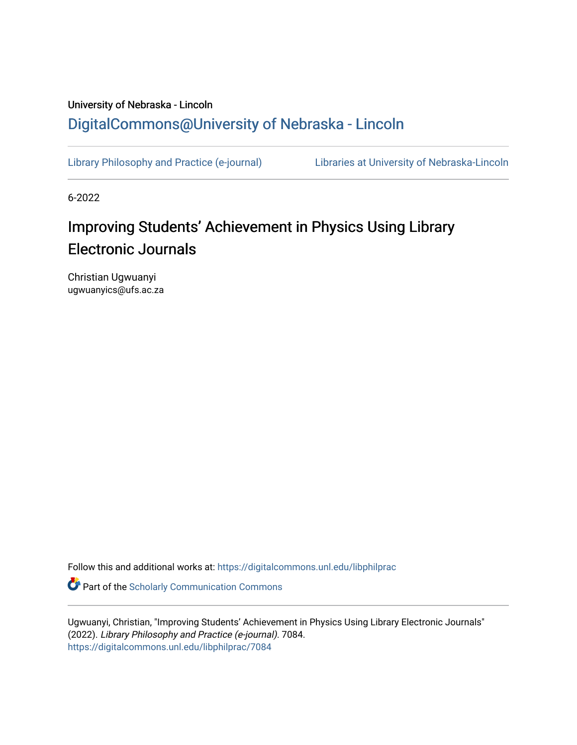## University of Nebraska - Lincoln [DigitalCommons@University of Nebraska - Lincoln](https://digitalcommons.unl.edu/)

[Library Philosophy and Practice \(e-journal\)](https://digitalcommons.unl.edu/libphilprac) [Libraries at University of Nebraska-Lincoln](https://digitalcommons.unl.edu/libraries) 

6-2022

# Improving Students' Achievement in Physics Using Library Electronic Journals

Christian Ugwuanyi ugwuanyics@ufs.ac.za

Follow this and additional works at: [https://digitalcommons.unl.edu/libphilprac](https://digitalcommons.unl.edu/libphilprac?utm_source=digitalcommons.unl.edu%2Flibphilprac%2F7084&utm_medium=PDF&utm_campaign=PDFCoverPages) 

**Part of the Scholarly Communication Commons** 

Ugwuanyi, Christian, "Improving Students' Achievement in Physics Using Library Electronic Journals" (2022). Library Philosophy and Practice (e-journal). 7084. [https://digitalcommons.unl.edu/libphilprac/7084](https://digitalcommons.unl.edu/libphilprac/7084?utm_source=digitalcommons.unl.edu%2Flibphilprac%2F7084&utm_medium=PDF&utm_campaign=PDFCoverPages)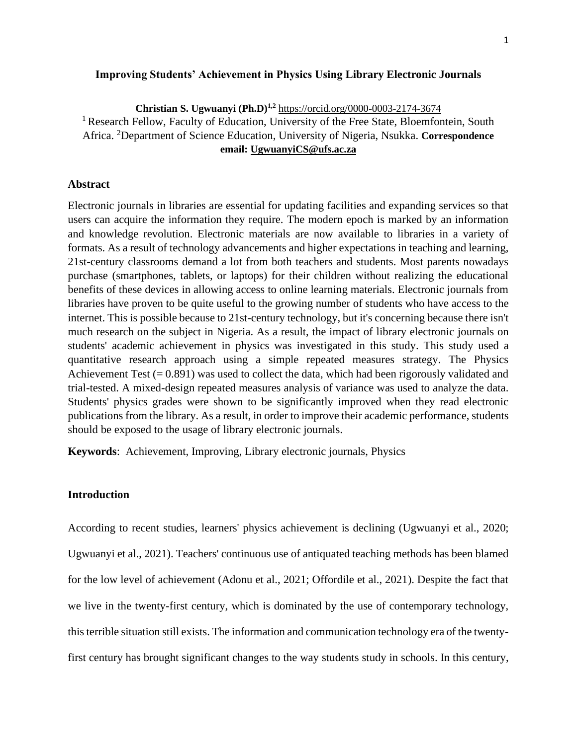## **Improving Students' Achievement in Physics Using Library Electronic Journals**

**Christian S. Ugwuanyi (Ph.D)1,2** <https://orcid.org/0000-0003-2174-3674> <sup>1</sup> Research Fellow, Faculty of Education, University of the Free State, Bloemfontein, South Africa. <sup>2</sup>Department of Science Education, University of Nigeria, Nsukka. **Correspondence email: [UgwuanyiCS@ufs.ac.za](mailto:UgwuanyiCS@ufs.ac.za)**

## **Abstract**

Electronic journals in libraries are essential for updating facilities and expanding services so that users can acquire the information they require. The modern epoch is marked by an information and knowledge revolution. Electronic materials are now available to libraries in a variety of formats. As a result of technology advancements and higher expectations in teaching and learning, 21st-century classrooms demand a lot from both teachers and students. Most parents nowadays purchase (smartphones, tablets, or laptops) for their children without realizing the educational benefits of these devices in allowing access to online learning materials. Electronic journals from libraries have proven to be quite useful to the growing number of students who have access to the internet. This is possible because to 21st-century technology, but it's concerning because there isn't much research on the subject in Nigeria. As a result, the impact of library electronic journals on students' academic achievement in physics was investigated in this study. This study used a quantitative research approach using a simple repeated measures strategy. The Physics Achievement Test  $(= 0.891)$  was used to collect the data, which had been rigorously validated and trial-tested. A mixed-design repeated measures analysis of variance was used to analyze the data. Students' physics grades were shown to be significantly improved when they read electronic publications from the library. As a result, in order to improve their academic performance, students should be exposed to the usage of library electronic journals.

**Keywords**: Achievement, Improving, Library electronic journals, Physics

## **Introduction**

According to recent studies, learners' physics achievement is declining (Ugwuanyi et al., 2020; Ugwuanyi et al., 2021). Teachers' continuous use of antiquated teaching methods has been blamed for the low level of achievement (Adonu et al., 2021; Offordile et al., 2021). Despite the fact that we live in the twenty-first century, which is dominated by the use of contemporary technology, this terrible situation still exists. The information and communication technology era of the twentyfirst century has brought significant changes to the way students study in schools. In this century,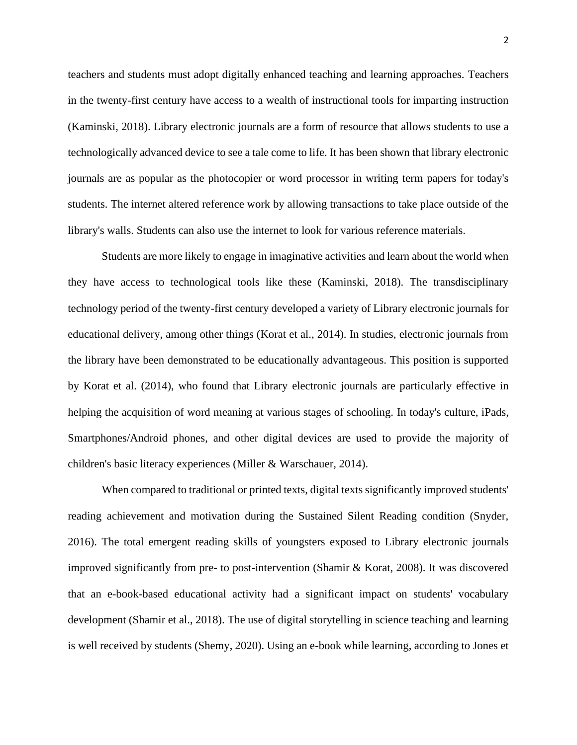teachers and students must adopt digitally enhanced teaching and learning approaches. Teachers in the twenty-first century have access to a wealth of instructional tools for imparting instruction (Kaminski, 2018). Library electronic journals are a form of resource that allows students to use a technologically advanced device to see a tale come to life. It has been shown that library electronic journals are as popular as the photocopier or word processor in writing term papers for today's students. The internet altered reference work by allowing transactions to take place outside of the library's walls. Students can also use the internet to look for various reference materials.

Students are more likely to engage in imaginative activities and learn about the world when they have access to technological tools like these (Kaminski, 2018). The transdisciplinary technology period of the twenty-first century developed a variety of Library electronic journals for educational delivery, among other things (Korat et al., 2014). In studies, electronic journals from the library have been demonstrated to be educationally advantageous. This position is supported by Korat et al. (2014), who found that Library electronic journals are particularly effective in helping the acquisition of word meaning at various stages of schooling. In today's culture, iPads, Smartphones/Android phones, and other digital devices are used to provide the majority of children's basic literacy experiences (Miller & Warschauer, 2014).

When compared to traditional or printed texts, digital texts significantly improved students' reading achievement and motivation during the Sustained Silent Reading condition (Snyder, 2016). The total emergent reading skills of youngsters exposed to Library electronic journals improved significantly from pre- to post-intervention (Shamir & Korat, 2008). It was discovered that an e-book-based educational activity had a significant impact on students' vocabulary development (Shamir et al., 2018). The use of digital storytelling in science teaching and learning is well received by students (Shemy, 2020). Using an e-book while learning, according to Jones et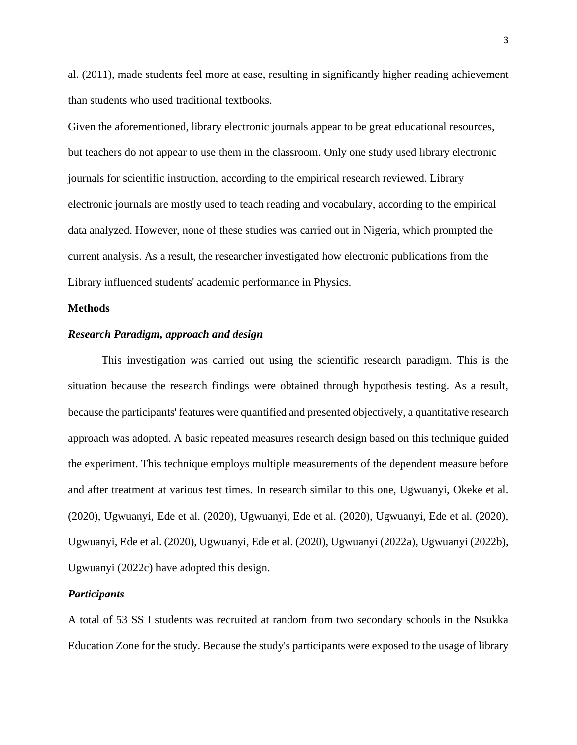al. (2011), made students feel more at ease, resulting in significantly higher reading achievement than students who used traditional textbooks.

Given the aforementioned, library electronic journals appear to be great educational resources, but teachers do not appear to use them in the classroom. Only one study used library electronic journals for scientific instruction, according to the empirical research reviewed. Library electronic journals are mostly used to teach reading and vocabulary, according to the empirical data analyzed. However, none of these studies was carried out in Nigeria, which prompted the current analysis. As a result, the researcher investigated how electronic publications from the Library influenced students' academic performance in Physics.

#### **Methods**

## *Research Paradigm, approach and design*

This investigation was carried out using the scientific research paradigm. This is the situation because the research findings were obtained through hypothesis testing. As a result, because the participants' features were quantified and presented objectively, a quantitative research approach was adopted. A basic repeated measures research design based on this technique guided the experiment. This technique employs multiple measurements of the dependent measure before and after treatment at various test times. In research similar to this one, Ugwuanyi, Okeke et al. (2020), Ugwuanyi, Ede et al. (2020), Ugwuanyi, Ede et al. (2020), Ugwuanyi, Ede et al. (2020), Ugwuanyi, Ede et al. (2020), Ugwuanyi, Ede et al. (2020), Ugwuanyi (2022a), Ugwuanyi (2022b), Ugwuanyi (2022c) have adopted this design.

## *Participants*

A total of 53 SS I students was recruited at random from two secondary schools in the Nsukka Education Zone for the study. Because the study's participants were exposed to the usage of library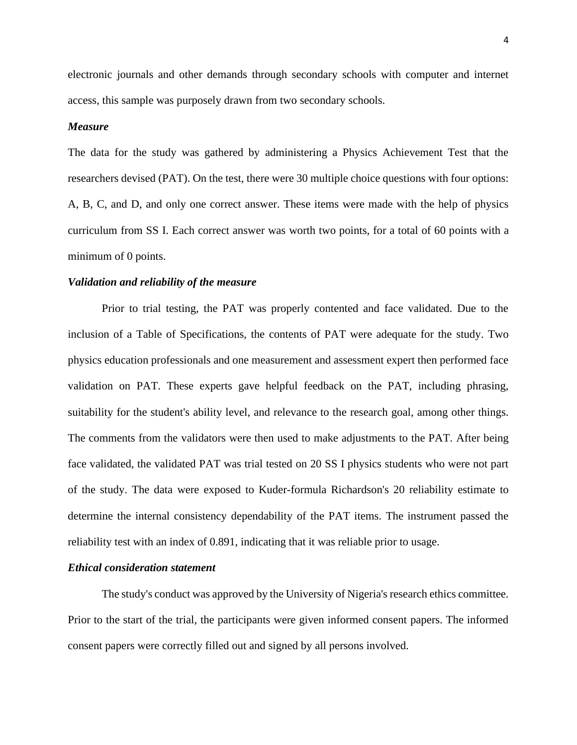electronic journals and other demands through secondary schools with computer and internet access, this sample was purposely drawn from two secondary schools.

#### *Measure*

The data for the study was gathered by administering a Physics Achievement Test that the researchers devised (PAT). On the test, there were 30 multiple choice questions with four options: A, B, C, and D, and only one correct answer. These items were made with the help of physics curriculum from SS I. Each correct answer was worth two points, for a total of 60 points with a minimum of 0 points.

## *Validation and reliability of the measure*

Prior to trial testing, the PAT was properly contented and face validated. Due to the inclusion of a Table of Specifications, the contents of PAT were adequate for the study. Two physics education professionals and one measurement and assessment expert then performed face validation on PAT. These experts gave helpful feedback on the PAT, including phrasing, suitability for the student's ability level, and relevance to the research goal, among other things. The comments from the validators were then used to make adjustments to the PAT. After being face validated, the validated PAT was trial tested on 20 SS I physics students who were not part of the study. The data were exposed to Kuder-formula Richardson's 20 reliability estimate to determine the internal consistency dependability of the PAT items. The instrument passed the reliability test with an index of 0.891, indicating that it was reliable prior to usage.

#### *Ethical consideration statement*

The study's conduct was approved by the University of Nigeria's research ethics committee. Prior to the start of the trial, the participants were given informed consent papers. The informed consent papers were correctly filled out and signed by all persons involved.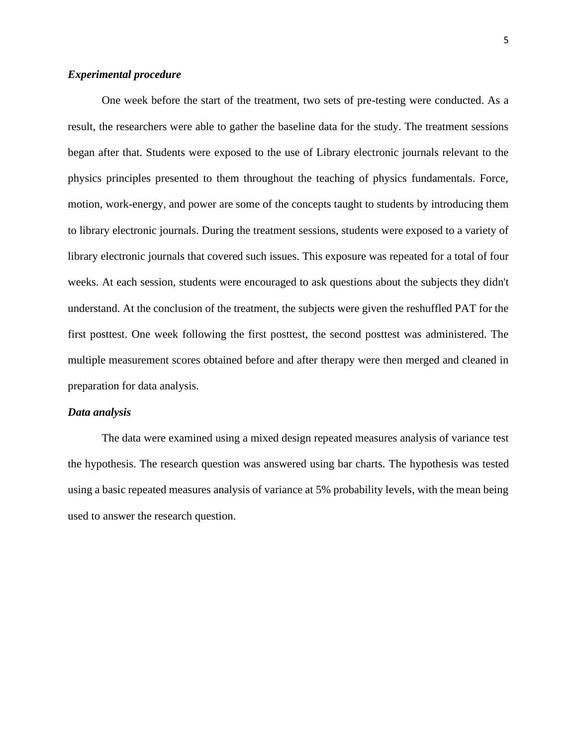## *Experimental procedure*

One week before the start of the treatment, two sets of pre-testing were conducted. As a result, the researchers were able to gather the baseline data for the study. The treatment sessions began after that. Students were exposed to the use of Library electronic journals relevant to the physics principles presented to them throughout the teaching of physics fundamentals. Force, motion, work-energy, and power are some of the concepts taught to students by introducing them to library electronic journals. During the treatment sessions, students were exposed to a variety of library electronic journals that covered such issues. This exposure was repeated for a total of four weeks. At each session, students were encouraged to ask questions about the subjects they didn't understand. At the conclusion of the treatment, the subjects were given the reshuffled PAT for the first posttest. One week following the first posttest, the second posttest was administered. The multiple measurement scores obtained before and after therapy were then merged and cleaned in preparation for data analysis.

#### *Data analysis*

The data were examined using a mixed design repeated measures analysis of variance test the hypothesis. The research question was answered using bar charts. The hypothesis was tested using a basic repeated measures analysis of variance at 5% probability levels, with the mean being used to answer the research question.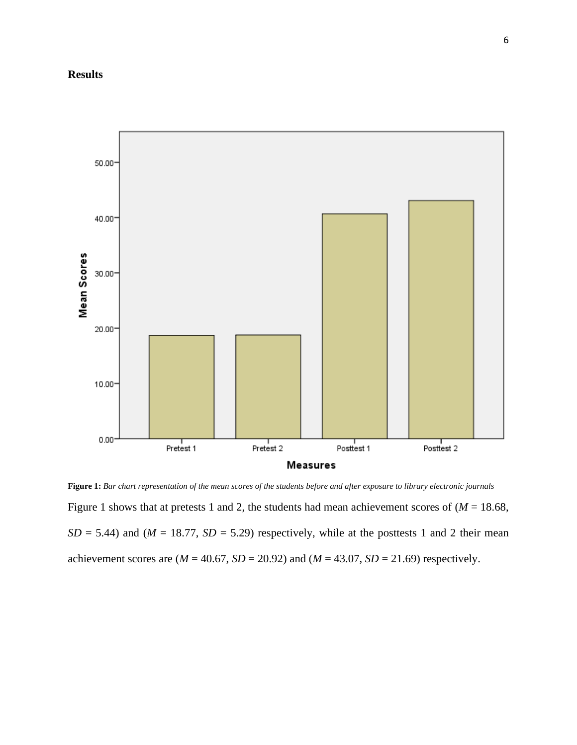## **Results**



**Figure 1:** *Bar chart representation of the mean scores of the students before and after exposure to library electronic journals* Figure 1 shows that at pretests 1 and 2, the students had mean achievement scores of  $(M = 18.68,$  $SD = 5.44$ ) and ( $M = 18.77$ ,  $SD = 5.29$ ) respectively, while at the posttests 1 and 2 their mean achievement scores are  $(M = 40.67, SD = 20.92)$  and  $(M = 43.07, SD = 21.69)$  respectively.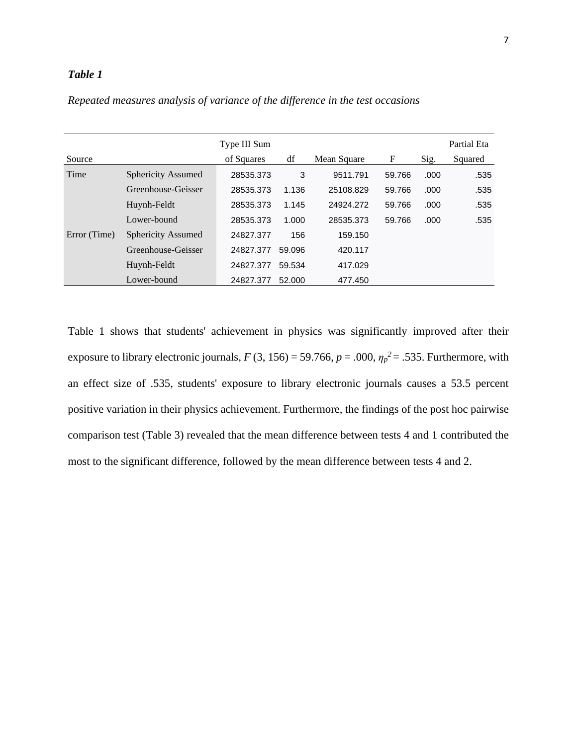## *Table 1*

|              |                           | Type III Sum |        |             |        |       | Partial Eta |
|--------------|---------------------------|--------------|--------|-------------|--------|-------|-------------|
| Source       |                           | of Squares   | df     | Mean Square | F      | Sig.  | Squared     |
| Time         | Sphericity Assumed        | 28535.373    | 3      | 9511.791    | 59.766 | .000. | .535        |
|              | Greenhouse-Geisser        | 28535.373    | 1.136  | 25108.829   | 59.766 | .000  | .535        |
|              | Huynh-Feldt               | 28535.373    | 1.145  | 24924.272   | 59.766 | .000  | .535        |
|              | Lower-bound               | 28535.373    | 1.000  | 28535.373   | 59.766 | .000  | .535        |
| Error (Time) | <b>Sphericity Assumed</b> | 24827.377    | 156    | 159.150     |        |       |             |
|              | Greenhouse-Geisser        | 24827.377    | 59.096 | 420.117     |        |       |             |
|              | Huynh-Feldt               | 24827.377    | 59.534 | 417.029     |        |       |             |
|              | Lower-bound               | 24827.377    | 52.000 | 477.450     |        |       |             |

*Repeated measures analysis of variance of the difference in the test occasions*

Table 1 shows that students' achievement in physics was significantly improved after their exposure to library electronic journals,  $F(3, 156) = 59.766$ ,  $p = .000$ ,  $\eta_p^2 = .535$ . Furthermore, with an effect size of .535, students' exposure to library electronic journals causes a 53.5 percent positive variation in their physics achievement. Furthermore, the findings of the post hoc pairwise comparison test (Table 3) revealed that the mean difference between tests 4 and 1 contributed the most to the significant difference, followed by the mean difference between tests 4 and 2.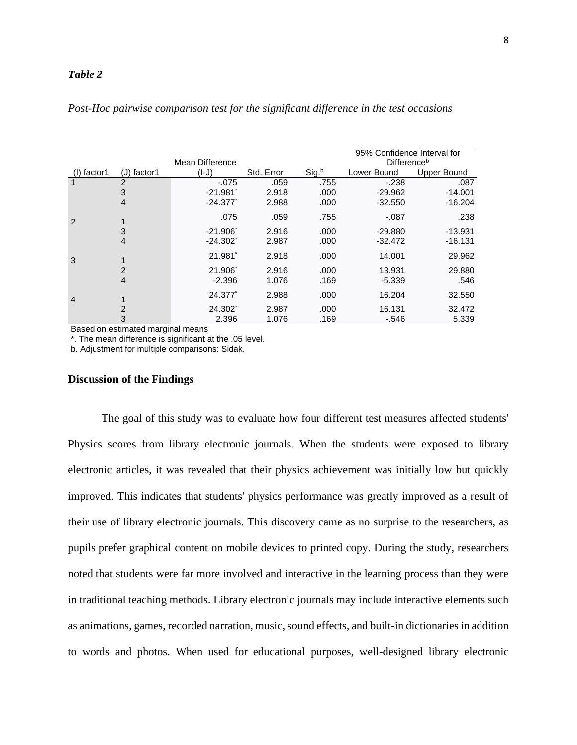## *Table 2*

|                |                |                        |            | 95% Confidence Interval for |             |             |  |  |
|----------------|----------------|------------------------|------------|-----------------------------|-------------|-------------|--|--|
|                |                | Mean Difference        |            | Difference <sup>b</sup>     |             |             |  |  |
| factor1        | $J)$ factor1   | $(I-J)$                | Std. Error | Sig.b                       | Lower Bound | Upper Bound |  |  |
|                | 2              | $-.075$                | .059       | .755                        | $-238$      | .087        |  |  |
|                | 3              | $-21.981'$             | 2.918      | .000                        | $-29.962$   | $-14.001$   |  |  |
|                | $\overline{4}$ | $-24.377$              | 2.988      | .000                        | $-32.550$   | $-16.204$   |  |  |
| 2              |                | .075                   | .059       | .755                        | $-.087$     | .238        |  |  |
|                | 3              | $-21.906$ <sup>*</sup> | 2.916      | .000                        | $-29.880$   | $-13.931$   |  |  |
|                | $\overline{4}$ | $-24.302$ <sup>*</sup> | 2.987      | .000                        | $-32.472$   | $-16.131$   |  |  |
| 3              |                | 21.981                 | 2.918      | .000                        | 14.001      | 29.962      |  |  |
|                | $\overline{2}$ | 21.906                 | 2.916      | .000                        | 13.931      | 29.880      |  |  |
|                | $\overline{4}$ | $-2.396$               | 1.076      | .169                        | $-5.339$    | .546        |  |  |
| $\overline{4}$ |                | 24.377*                | 2.988      | .000                        | 16.204      | 32.550      |  |  |
|                | 2              | 24.302                 | 2.987      | .000                        | 16.131      | 32.472      |  |  |
|                | 3              | 2.396                  | 1.076      | .169                        | $-546$      | 5.339       |  |  |

## *Post-Hoc pairwise comparison test for the significant difference in the test occasions*

Based on estimated marginal means

\*. The mean difference is significant at the .05 level.

b. Adjustment for multiple comparisons: Sidak.

#### **Discussion of the Findings**

The goal of this study was to evaluate how four different test measures affected students' Physics scores from library electronic journals. When the students were exposed to library electronic articles, it was revealed that their physics achievement was initially low but quickly improved. This indicates that students' physics performance was greatly improved as a result of their use of library electronic journals. This discovery came as no surprise to the researchers, as pupils prefer graphical content on mobile devices to printed copy. During the study, researchers noted that students were far more involved and interactive in the learning process than they were in traditional teaching methods. Library electronic journals may include interactive elements such as animations, games, recorded narration, music, sound effects, and built-in dictionaries in addition to words and photos. When used for educational purposes, well-designed library electronic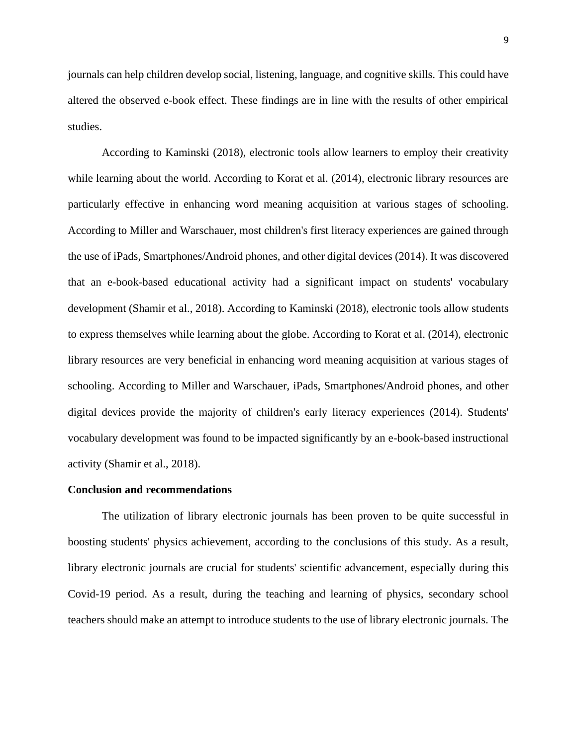journals can help children develop social, listening, language, and cognitive skills. This could have altered the observed e-book effect. These findings are in line with the results of other empirical studies.

According to Kaminski (2018), electronic tools allow learners to employ their creativity while learning about the world. According to Korat et al. (2014), electronic library resources are particularly effective in enhancing word meaning acquisition at various stages of schooling. According to Miller and Warschauer, most children's first literacy experiences are gained through the use of iPads, Smartphones/Android phones, and other digital devices (2014). It was discovered that an e-book-based educational activity had a significant impact on students' vocabulary development (Shamir et al., 2018). According to Kaminski (2018), electronic tools allow students to express themselves while learning about the globe. According to Korat et al. (2014), electronic library resources are very beneficial in enhancing word meaning acquisition at various stages of schooling. According to Miller and Warschauer, iPads, Smartphones/Android phones, and other digital devices provide the majority of children's early literacy experiences (2014). Students' vocabulary development was found to be impacted significantly by an e-book-based instructional activity (Shamir et al., 2018).

#### **Conclusion and recommendations**

The utilization of library electronic journals has been proven to be quite successful in boosting students' physics achievement, according to the conclusions of this study. As a result, library electronic journals are crucial for students' scientific advancement, especially during this Covid-19 period. As a result, during the teaching and learning of physics, secondary school teachers should make an attempt to introduce students to the use of library electronic journals. The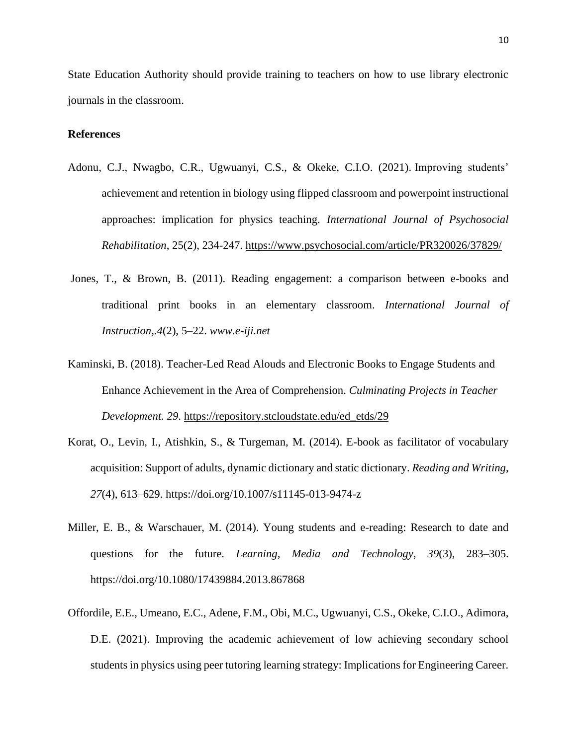State Education Authority should provide training to teachers on how to use library electronic journals in the classroom.

## **References**

- Adonu, C.J., Nwagbo, C.R., Ugwuanyi, C.S., & Okeke, C.I.O. (2021). Improving students' achievement and retention in biology using flipped classroom and powerpoint instructional approaches: implication for physics teaching*. International Journal of Psychosocial Rehabilitation*, 25(2), 234-247.<https://www.psychosocial.com/article/PR320026/37829/>
- Jones, T., & Brown, B. (2011). Reading engagement: a comparison between e-books and traditional print books in an elementary classroom. *International Journal of Instruction,.4*(2), 5–22. *www.e-iji.net*
- Kaminski, B. (2018). Teacher-Led Read Alouds and Electronic Books to Engage Students and Enhance Achievement in the Area of Comprehension. *Culminating Projects in Teacher Development. 29*. [https://repository.stcloudstate.edu/ed\\_etds/29](https://repository.stcloudstate.edu/ed_etds/29)
- Korat, O., Levin, I., Atishkin, S., & Turgeman, M. (2014). E-book as facilitator of vocabulary acquisition: Support of adults, dynamic dictionary and static dictionary. *Reading and Writing*, *27*(4), 613–629. https://doi.org/10.1007/s11145-013-9474-z
- Miller, E. B., & Warschauer, M. (2014). Young students and e-reading: Research to date and questions for the future. *Learning, Media and Technology*, *39*(3), 283–305. https://doi.org/10.1080/17439884.2013.867868
- Offordile, E.E., Umeano, E.C., Adene, F.M., Obi, M.C., Ugwuanyi, C.S., Okeke, C.I.O., Adimora, D.E. (2021). Improving the academic achievement of low achieving secondary school students in physics using peer tutoring learning strategy: Implications for Engineering Career.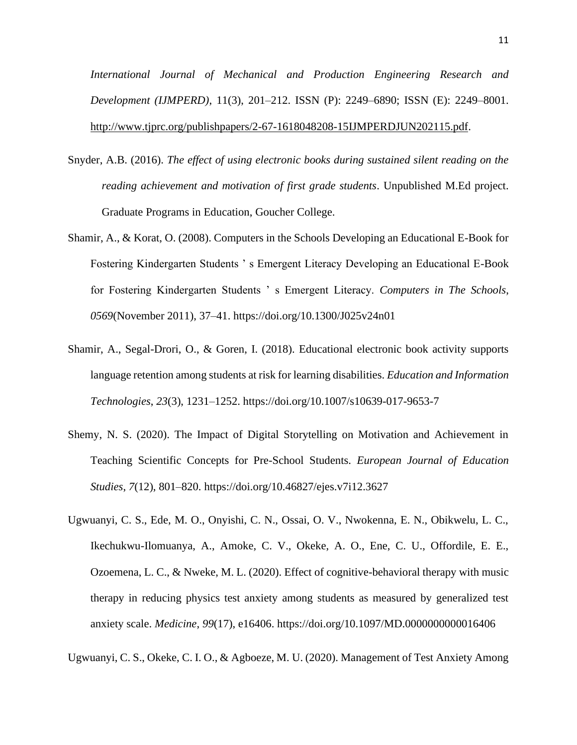*International Journal of Mechanical and Production Engineering Research and Development (IJMPERD)*, 11(3), 201–212. ISSN (P): 2249–6890; ISSN (E): 2249–8001. [http://www.tjprc.org/publishpapers/2-67-1618048208-15IJMPERDJUN202115.pdf.](http://www.tjprc.org/publishpapers/2-67-1618048208-15IJMPERDJUN202115.pdf)

- Snyder, A.B. (2016). *The effect of using electronic books during sustained silent reading on the reading achievement and motivation of first grade students*. Unpublished M.Ed project. Graduate Programs in Education, Goucher College.
- Shamir, A., & Korat, O. (2008). Computers in the Schools Developing an Educational E-Book for Fostering Kindergarten Students ' s Emergent Literacy Developing an Educational E-Book for Fostering Kindergarten Students ' s Emergent Literacy. *Computers in The Schools*, *0569*(November 2011), 37–41. https://doi.org/10.1300/J025v24n01
- Shamir, A., Segal-Drori, O., & Goren, I. (2018). Educational electronic book activity supports language retention among students at risk for learning disabilities. *Education and Information Technologies*, *23*(3), 1231–1252. https://doi.org/10.1007/s10639-017-9653-7
- Shemy, N. S. (2020). The Impact of Digital Storytelling on Motivation and Achievement in Teaching Scientific Concepts for Pre-School Students. *European Journal of Education Studies*, *7*(12), 801–820. https://doi.org/10.46827/ejes.v7i12.3627
- Ugwuanyi, C. S., Ede, M. O., Onyishi, C. N., Ossai, O. V., Nwokenna, E. N., Obikwelu, L. C., Ikechukwu-Ilomuanya, A., Amoke, C. V., Okeke, A. O., Ene, C. U., Offordile, E. E., Ozoemena, L. C., & Nweke, M. L. (2020). Effect of cognitive-behavioral therapy with music therapy in reducing physics test anxiety among students as measured by generalized test anxiety scale. *Medicine*, *99*(17), e16406. https://doi.org/10.1097/MD.0000000000016406

Ugwuanyi, C. S., Okeke, C. I. O., & Agboeze, M. U. (2020). Management of Test Anxiety Among